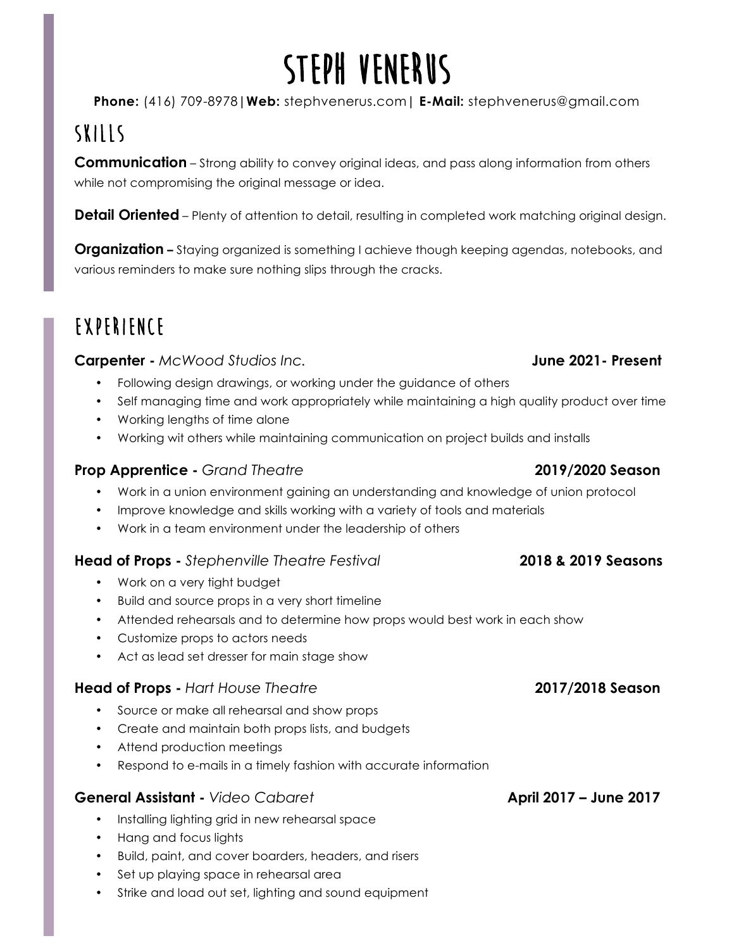# **Steph Venerus**

**Phone:** (416) 709-8978**|Web:** stephvenerus.com**| E-Mail:** stephvenerus@gmail.com

## **Skills**

**Communication** – Strong ability to convey original ideas, and pass along information from others while not compromising the original message or idea.

**Detail Oriented** – Plenty of attention to detail, resulting in completed work matching original design.

**Organization –** Staying organized is something I achieve though keeping agendas, notebooks, and various reminders to make sure nothing slips through the cracks.

## **Experience**

### **Carpenter -** *McWood Studios Inc.* **June 2021- Present**

- Following design drawings, or working under the guidance of others
- Self managing time and work appropriately while maintaining a high quality product over time
- Working lengths of time alone
- Working wit others while maintaining communication on project builds and installs

## **Prop Apprentice -** *Grand Theatre* **2019/2020 Season**

- Work in a union environment gaining an understanding and knowledge of union protocol
- Improve knowledge and skills working with a variety of tools and materials
- Work in a team environment under the leadership of others

### **Head of Props -** *Stephenville Theatre Festival* **2018 & 2019 Seasons**

- Work on a very tight budget
- Build and source props in a very short timeline
- Attended rehearsals and to determine how props would best work in each show
- Customize props to actors needs
- Act as lead set dresser for main stage show

### **Head of Props -** *Hart House Theatre* **2017/2018 Season**

- Source or make all rehearsal and show props
- Create and maintain both props lists, and budgets
- Attend production meetings
- Respond to e-mails in a timely fashion with accurate information

### **General Assistant -** *Video Cabaret* **April 2017 – June 2017**

- Installing lighting grid in new rehearsal space
- Hang and focus lights
- Build, paint, and cover boarders, headers, and risers
- Set up playing space in rehearsal area
- Strike and load out set, lighting and sound equipment